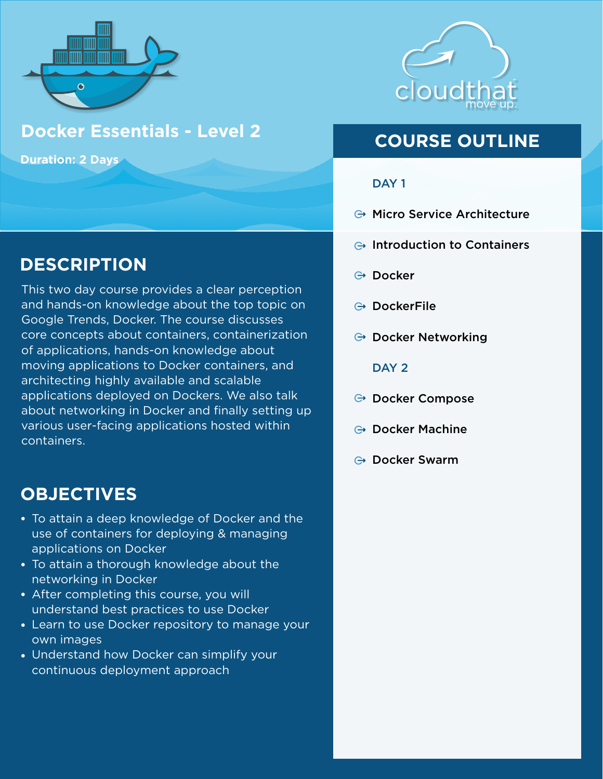

### **Docker Essentials - Level 2**

**Duration: 2 Days**

# **DESCRIPTION**

This two day course provides a clear perception and hands-on knowledge about the top topic on Google Trends, Docker. The course discusses core concepts about containers, containerization of applications, hands-on knowledge about moving applications to Docker containers, and architecting highly available and scalable applications deployed on Dockers. We also talk about networking in Docker and finally setting up various user-facing applications hosted within containers.

### **OBJECTIVES**

- To attain a deep knowledge of Docker and the use of containers for deploying & managing applications on Docker
- To attain a thorough knowledge about the networking in Docker
- After completing this course, you will understand best practices to use Docker
- Learn to use Docker repository to manage your own images
- Understand how Docker can simplify your continuous deployment approach



# **COURSE OUTLINE**

#### DAY<sub>1</sub>

- **→ Micro Service Architecture**
- $\ominus$  Introduction to Containers
- **⊕** Docker
- **⊕** DockerFile
- $\ominus$  Docker Networking

#### DAY<sub>2</sub>

- **→ Docker Compose**
- **⊕ Docker Machine**
- **⊕ Docker Swarm**